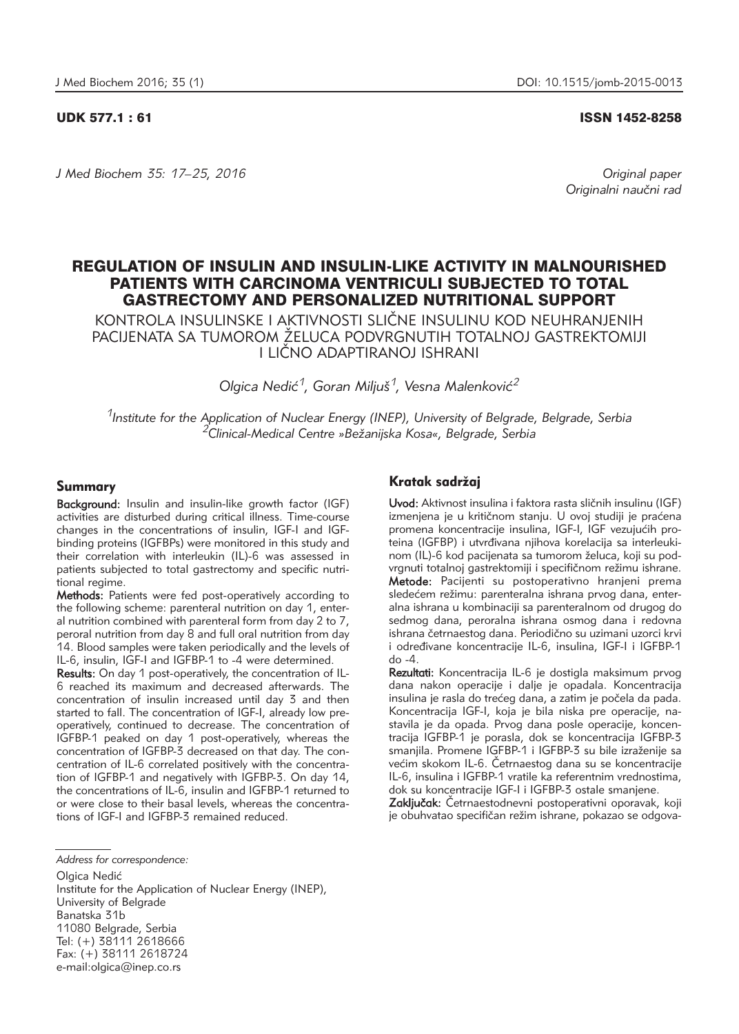UDK 577.1 : 61 ISSN 1452-8258

*J Med Biochem 35: 17–25, 2016 Original paper*

Originalni naučni rad

# REGULATION OF INSULIN AND INSULIN-LIKE ACTIVITY IN MALNOURISHED PATIENTS WITH CARCINOMA VENTRICULI SUBJECTED TO TOTAL GASTRECTOMY AND PERSONALIZED NUTRITIONAL SUPPORT

KONTROLA INSULINSKE I AKTIVNOSTI SLI^NE INSULINU KOD NEUHRANJENIH PACIJENATA SA TUMOROM ŽELUCA PODVRGNUTIH TOTALNOJ GASTREKTOMIJI I LI^NO ADAPTIRANOJ ISHRANI

*Olgica Nedić<sup>1</sup>, Goran Miliuš<sup>1</sup>, Vesna Malenković<sup>2</sup>* 

*1Institute for the Application of Nuclear Energy (INEP), University of Belgrade, Belgrade, Serbia 2Clinical-Medical Centre »Be`anijska Kosa«, Belgrade, Serbia*

## Summary

Background: Insulin and insulin-like growth factor (IGF) activities are disturbed during critical illness. Time-course changes in the concentrations of insulin, IGF-I and IGFbinding proteins (IGFBPs) were monitored in this study and their correlation with interleukin (IL)-6 was assessed in patients subjected to total gastrectomy and specific nutritional regime.

Methods: Patients were fed post-operatively according to the following scheme: parenteral nutrition on day 1, enteral nutrition combined with parenteral form from day 2 to 7, peroral nutrition from day 8 and full oral nutrition from day 14. Blood samples were taken periodically and the levels of IL-6, insulin, IGF-I and IGFBP-1 to -4 were determined.

Results: On day 1 post-operatively, the concentration of IL-6 reached its maximum and decreased afterwards. The concentration of insulin increased until day 3 and then started to fall. The concentration of IGF-I, already low preoperatively, continued to decrease. The concentration of IGFBP-1 peaked on day 1 post-operatively, whereas the concentration of IGFBP-3 decreased on that day. The concentration of IL-6 correlated positively with the concentration of IGFBP-1 and negatively with IGFBP-3. On day 14, the concentrations of IL-6, insulin and IGFBP-1 returned to or were close to their basal levels, whereas the concentrations of IGF-I and IGFBP-3 remained reduced.

Olgica Nedić Institute for the Application of Nuclear Energy (INEP), University of Belgrade Banatska 31b 11080 Belgrade, Serbia Tel: (+) 38111 2618666 Fax: (+) 38111 2618724 e-mail:olgica@inep.co.rs

## Kratak sadržai

Uvod: Aktivnost insulina i faktora rasta sličnih insulinu (IGF) izmenjena je u kritičnom stanju. U ovoj studiji je praćena promena koncentracije insulina, IGF-I, IGF vezujućih proieina (IGFBP) i utvrđivana njihova korelacija sa interleukinom (IL)-6 kod pacijenata sa tumorom želuca, koji su podvrgnuti totalnoj gastrektomiji i specifičnom režimu ishrane. Metode: Pacijenti su postoperativno hranjeni prema sledećem režimu: parenteralna ishrana prvog dana, enteralna ishrana u kombinaciji sa parenteralnom od drugog do sedmog dana, peroralna ishrana osmog dana i redovna ishrana četrnaestog dana. Periodično su uzimani uzorci krvi i određivane koncentracije IL-6, insulina, IGF-I i IGFBP-1 do -4.

Rezultati: Koncentracija IL-6 je dostigla maksimum prvog dana nakon operacije i dalje je opadala. Koncentracija insulina je rasla do trećeg dana, a zatim je počela da pada. Koncentracija IGF-I, koja je bila niska pre operacije, nastavila je da opada. Prvog dana posle operacije, koncentracija IGFBP-1 je porasla, dok se koncentracija IGFBP-3 smanjila. Promene IGFBP-1 i IGFBP-3 su bile izraženije sa većim skokom IL-6. Četrnaestog dana su se koncentracije IL-6, insulina i IGFBP-1 vratile ka referentnim vrednostima, dok su koncentracije IGF-I i IGFBP-3 ostale smanjene.

Zakliučak: Četrnaestodnevni postoperativni oporavak, koji je obuhvatao specifičan režim ishrane, pokazao se odgova-

*Address for correspondence:*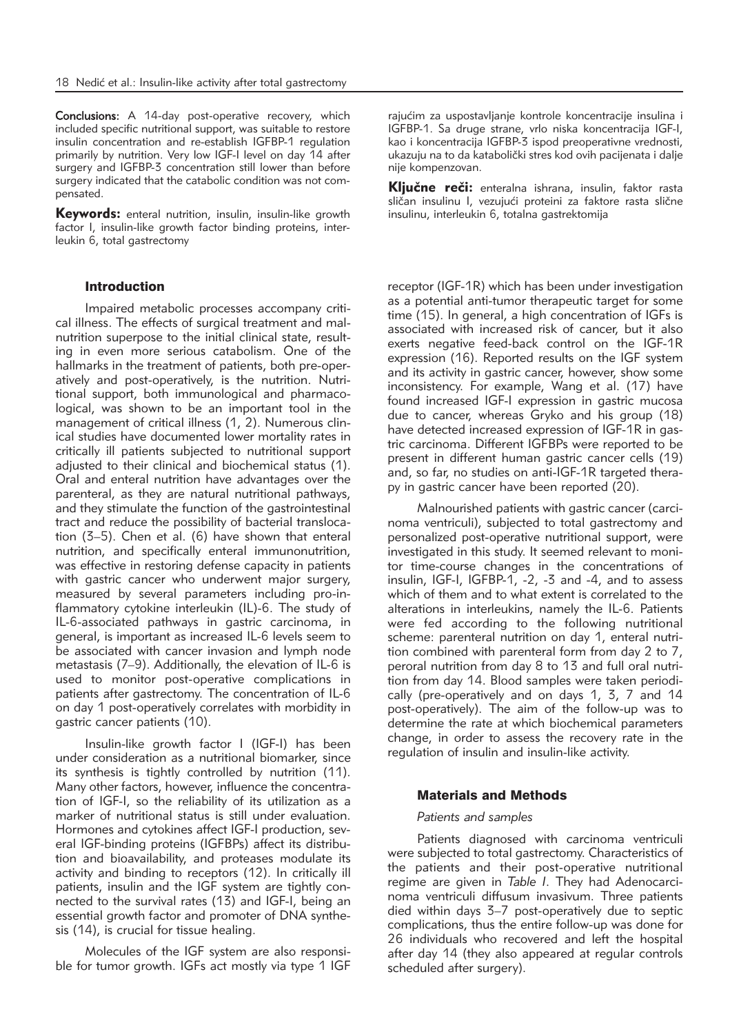Conclusions: A 14-day post-operative recovery, which included specific nutritional support, was suitable to restore insulin concentration and re-establish IGFBP-1 regulation primarily by nutrition. Very low IGF-I level on day 14 after surgery and IGFBP-3 concentration still lower than before surgery indicated that the catabolic condition was not compensated.

Keywords: enteral nutrition, insulin, insulin-like growth factor I, insulin-like growth factor binding proteins, interleukin 6, total gastrectomy

### Introduction

Impaired metabolic processes accompany critical illness. The effects of surgical treatment and malnutrition superpose to the initial clinical state, resulting in even more serious catabolism. One of the hallmarks in the treatment of patients, both pre-operatively and post-operatively, is the nutrition. Nutritional support, both immunological and pharmacological, was shown to be an important tool in the management of critical illness (1, 2). Numerous clinical studies have documented lower mortality rates in critically ill patients subjected to nutritional support adjusted to their clinical and biochemical status (1). Oral and enteral nutrition have advantages over the parenteral, as they are natural nutritional pathways, and they stimulate the function of the gastrointestinal tract and reduce the possibility of bacterial translocation (3–5). Chen et al. (6) have shown that enteral nutrition, and specifically enteral immunonutrition, was effective in restoring defense capacity in patients with gastric cancer who underwent major surgery, measured by several parameters including pro-inflammatory cytokine interleukin (IL)-6. The study of IL-6-associated pathways in gastric carcinoma, in general, is important as increased IL-6 levels seem to be associated with cancer invasion and lymph node metastasis (7–9). Additionally, the elevation of IL-6 is used to monitor post-operative complications in patients after gastrectomy. The concentration of IL-6 on day 1 post-operatively correlates with morbidity in gastric cancer patients (10).

Insulin-like growth factor I (IGF-I) has been under consideration as a nutritional biomarker, since its synthesis is tightly controlled by nutrition (11). Many other factors, however, influence the concentration of IGF-I, so the reliability of its utilization as a marker of nutritional status is still under evaluation. Hormones and cytokines affect IGF-I production, several IGF-binding proteins (IGFBPs) affect its distribution and bioavailability, and proteases modulate its activity and binding to receptors (12). In critically ill patients, insulin and the IGF system are tightly connected to the survival rates  $(13)$  and IGF-I, being an essential growth factor and promoter of DNA synthesis (14), is crucial for tissue healing.

Molecules of the IGF system are also responsible for tumor growth. IGFs act mostly via type 1 IGF

rajućim za uspostavljanje kontrole koncentracije insulina i IGFBP-1. Sa druge strane, vrlo niska koncentracija IGF-I, kao i koncentracija IGFBP-3 ispod preoperativne vrednosti, ukazuju na to da katabolički stres kod ovih pacijenata i dalje nije kompenzovan.

Ključne reči: enteralna ishrana, insulin, faktor rasta sličan insulinu I, vezujući proteini za faktore rasta slične insulinu, interleukin 6, totalna gastrektomija

receptor (IGF-1R) which has been under investigation as a potential anti-tumor therapeutic target for some time (15). In general, a high concentration of IGFs is associated with increased risk of cancer, but it also exerts negative feed-back control on the IGF-1R expression (16). Reported results on the IGF system and its activity in gastric cancer, however, show some inconsistency. For example, Wang et al. (17) have found increased IGF-I expression in gastric mucosa due to cancer, whereas Gryko and his group (18) have detected increased expression of IGF-1R in gastric carcinoma. Different IGFBPs were reported to be present in different human gastric cancer cells (19) and, so far, no studies on anti-IGF-1R targeted therapy in gastric cancer have been reported (20).

Malnourished patients with gastric cancer (carcinoma ventriculi), subjected to total gastrectomy and personalized post-operative nutritional support, were investigated in this study. It seemed relevant to monitor time-course changes in the concentrations of insulin, IGF-I, IGFBP-1, -2, -3 and -4, and to assess which of them and to what extent is correlated to the alterations in interleukins, namely the IL-6. Patients were fed according to the following nutritional scheme: parenteral nutrition on day 1, enteral nutrition combined with parenteral form from day 2 to 7, peroral nutrition from day 8 to 13 and full oral nutrition from day 14. Blood samples were taken periodically (pre-operatively and on days 1, 3, 7 and 14 post-operatively). The aim of the follow-up was to determine the rate at which biochemical parameters change, in order to assess the recovery rate in the regulation of insulin and insulin-like activity.

#### Materials and Methods

#### *Patients and samples*

Patients diagnosed with carcinoma ventriculi were subjected to total gastrectomy. Characteristics of the patients and their post-operative nutritional regime are given in Table *I*. They had Adenocarcinoma ventriculi diffusum invasivum. Three patients died within days 3–7 post-operatively due to septic complications, thus the entire follow-up was done for 26 individuals who recovered and left the hospital after day 14 (they also appeared at regular controls scheduled after surgery).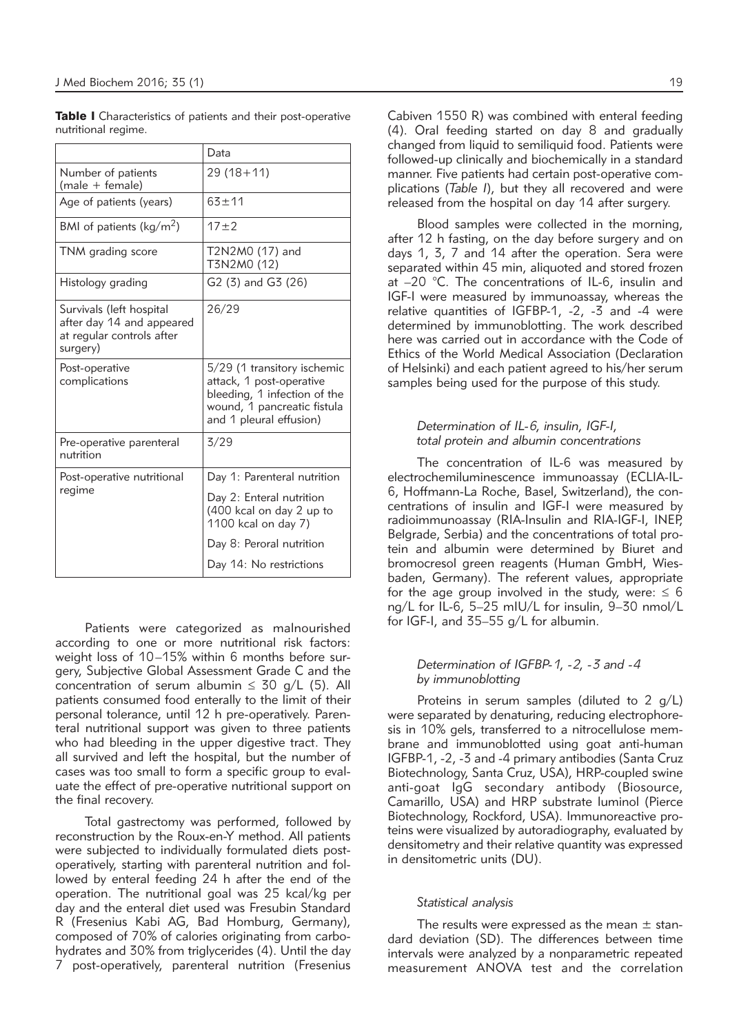Table I Characteristics of patients and their post-operative nutritional regime.

|                                                                                                | Data                                                                                                                                              |
|------------------------------------------------------------------------------------------------|---------------------------------------------------------------------------------------------------------------------------------------------------|
| Number of patients<br>$(male + female)$                                                        | $29(18+11)$                                                                                                                                       |
| Age of patients (years)                                                                        | $63 + 11$                                                                                                                                         |
| BMI of patients ( $\text{kg/m}^2$ )                                                            | $17 + 2$                                                                                                                                          |
| TNM grading score                                                                              | T2N2M0 (17) and<br>T3N2M0 (12)                                                                                                                    |
| Histology grading                                                                              | G2 (3) and G3 (26)                                                                                                                                |
| Survivals (left hospital<br>after day 14 and appeared<br>at regular controls after<br>surgery) | 26/29                                                                                                                                             |
| Post-operative<br>complications                                                                | 5/29 (1 transitory ischemic<br>attack, 1 post-operative<br>bleeding, 1 infection of the<br>wound, 1 pancreatic fistula<br>and 1 pleural effusion) |
| Pre-operative parenteral<br>nutrition                                                          | 3/29                                                                                                                                              |
| Post-operative nutritional<br>regime                                                           | Day 1: Parenteral nutrition                                                                                                                       |
|                                                                                                | Day 2: Enteral nutrition<br>(400 kcal on day 2 up to<br>1100 kcal on day 7)                                                                       |
|                                                                                                | Day 8: Peroral nutrition                                                                                                                          |
|                                                                                                | Day 14: No restrictions                                                                                                                           |

Patients were categorized as malnourished according to one or more nutritional risk factors: weight loss of 10–15% within 6 months before surgery, Subjective Global Assessment Grade C and the concentration of serum albumin  $\leq 30$  g/L (5). All patients consumed food enterally to the limit of their personal tolerance, until 12 h pre-operatively. Parenteral nutritional support was given to three patients who had bleeding in the upper digestive tract. They all survived and left the hospital, but the number of cases was too small to form a specific group to evaluate the effect of pre-operative nutritional support on the final recovery.

Total gastrectomy was performed, followed by reconstruction by the Roux-en-Y method. All patients were subjected to individually formulated diets postoperatively, starting with parenteral nutrition and followed by enteral feeding 24 h after the end of the operation. The nutritional goal was 25 kcal/kg per day and the enteral diet used was Fresubin Standard R (Fresenius Kabi AG, Bad Homburg, Germany), composed of 70% of calories originating from carbohydrates and 30% from triglycerides (4). Until the day 7 post-operatively, parenteral nutrition (Fresenius

Cabiven 1550 R) was combined with enteral feeding (4). Oral feeding started on day 8 and gradually changed from liquid to semiliquid food. Patients were followed-up clinically and biochemically in a standard manner. Five patients had certain post-operative complications (*Table I*), but they all recovered and were released from the hospital on day 14 after surgery.

Blood samples were collected in the morning, after 12 h fasting, on the day before surgery and on days 1, 3, 7 and 14 after the operation. Sera were separated within 45 min, aliquoted and stored frozen at –20 °C. The concentrations of IL-6, insulin and IGF-I were measured by immunoassay, whereas the relative quantities of IGFBP-1, -2, -3 and -4 were determined by immunoblotting. The work described here was carried out in accordance with the Code of Ethics of the World Medical Association (Declaration of Helsinki) and each patient agreed to his/her serum samples being used for the purpose of this study.

### *Determination of IL-6, insulin, IGF-I, total protein and albumin concentrations*

The concentration of IL-6 was measured by electrochemiluminescence immunoassay (ECLIA-IL-6, Hoffmann-La Roche, Basel, Switzerland), the concentrations of insulin and IGF-I were measured by radioimmunoassay (RIA-Insulin and RIA-IGF-I, INEP, Belgrade, Serbia) and the concentrations of total protein and albumin were determined by Biuret and bromocresol green reagents (Human GmbH, Wiesbaden, Germany). The referent values, appropriate for the age group involved in the study, were:  $\leq 6$ ng/L for IL-6, 5–25 mIU/L for insulin, 9–30 nmol/L for IGF-I, and 35–55 g/L for albumin.

#### *Determination of IGFBP-1, -2, -3 and -4 by immunoblotting*

Proteins in serum samples (diluted to 2 g/L) were separated by denaturing, reducing electrophoresis in 10% gels, transferred to a nitrocellulose membrane and immunoblotted using goat anti-human IGFBP-1, -2, -3 and -4 primary antibodies (Santa Cruz Biotechnology, Santa Cruz, USA), HRP-coupled swine anti-goat IgG secondary antibody (Biosource, Camarillo, USA) and HRP substrate luminol (Pierce Biotechnology, Rockford, USA). Immunoreactive proteins were visualized by autoradiography, evaluated by densitometry and their relative quantity was expressed in densitometric units (DU).

#### *Statistical analysis*

The results were expressed as the mean  $\pm$  standard deviation (SD). The differences between time intervals were analyzed by a nonparametric repeated measurement ANOVA test and the correlation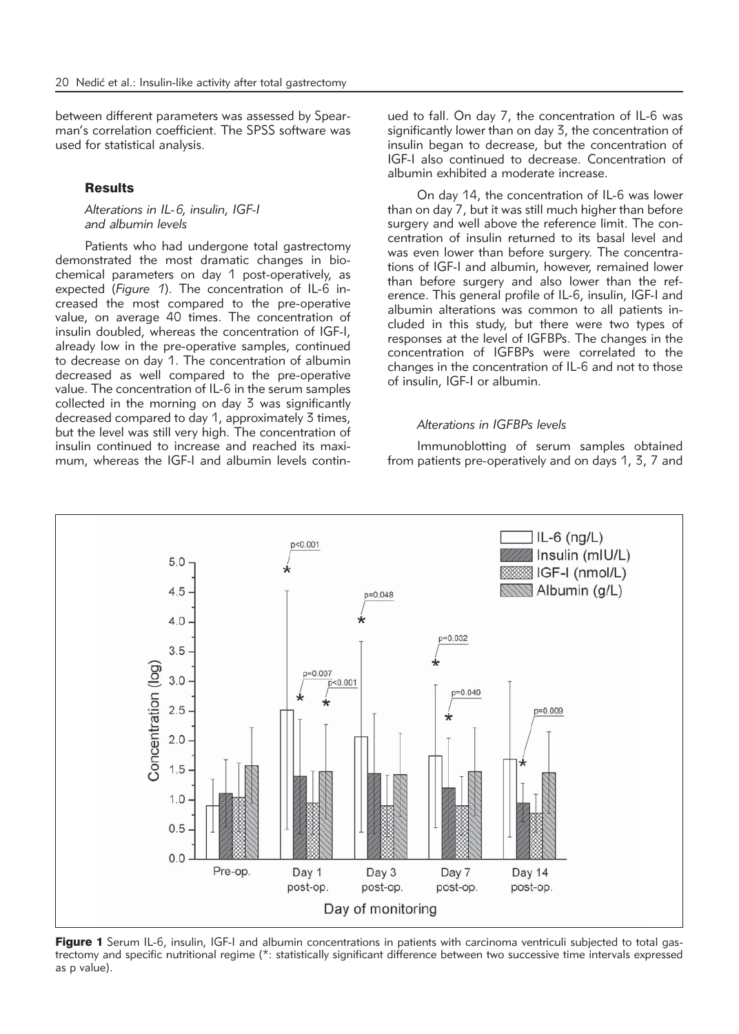between different parameters was assessed by Spear man's correlation coefficient. The SPSS software was used for statistical analysis.

## **Results**

*Alterations in IL-6, insulin, IGF-I and albumin levels*

Patients who had undergone total gastrectomy demonstrated the most dramatic changes in biochemical parameters on day 1 post-operatively, as expected (*Figure 1*). The concentration of IL-6 increased the most compared to the pre-operative value, on average 40 times. The concentration of insulin doubled, whereas the concentration of IGF-I, already low in the pre-operative samples, continued to decrease on day 1. The concentration of albumin decreased as well compared to the pre-operative value. The concentration of IL-6 in the serum samples collected in the morning on day 3 was significantly decreased compared to day 1, approximately 3 times, but the level was still very high. The concentration of insulin continued to increase and reached its maximum, whereas the IGF-I and albumin levels continued to fall. On day 7, the concentration of IL-6 was significantly lower than on day 3, the concentration of insulin began to decrease, but the concentration of IGF-I also continued to decrease. Concentration of albumin exhibited a moderate increase.

On day 14, the concentration of IL-6 was lower than on day 7, but it was still much higher than before surgery and well above the reference limit. The concentration of insulin returned to its basal level and was even lower than before surgery. The concentrations of IGF-I and albumin, however, remained lower than before surgery and also lower than the reference. This general profile of IL-6, insulin, IGF-I and albumin alterations was common to all patients included in this study, but there were two types of responses at the level of IGFBPs. The changes in the concentration of IGFBPs were correlated to the changes in the concentration of IL-6 and not to those of insulin, IGF-I or albumin.

### *Alterations in IGFBPs levels*

Immunoblotting of serum samples obtained from patients pre-operatively and on days 1, 3, 7 and



Figure 1 Serum IL-6, insulin, IGF-I and albumin concentrations in patients with carcinoma ventriculi subjected to total gastrectomy and specific nutritional regime (\*: statistically significant difference between two successive time intervals expressed as p value).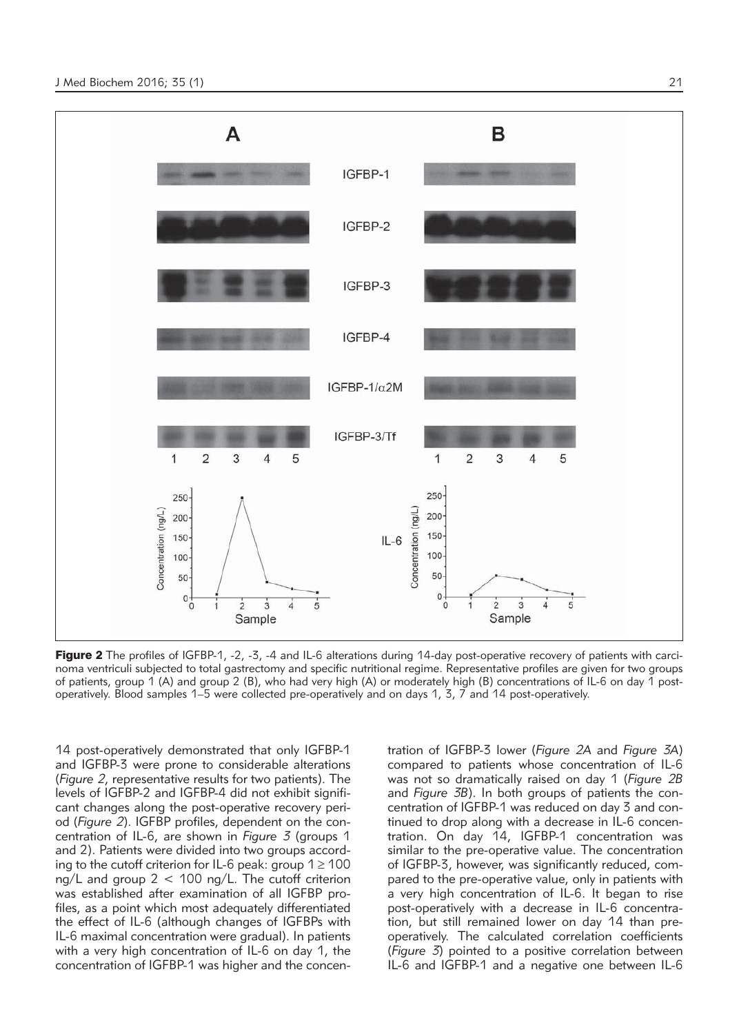

Figure 2 The profiles of IGFBP-1, -2, -3, -4 and IL-6 alterations during 14-day post-operative recovery of patients with carcinoma ventriculi subjected to total gastrectomy and specific nutritional regime. Representative profiles are given for two groups of patients, group 1 (A) and group 2 (B), who had very high (A) or moderately high (B) concentrations of IL-6 on day 1 postoperatively. Blood samples 1–5 were collected pre-operatively and on days 1, 3, 7 and 14 post-operatively.

14 post-operatively demonstrated that only IGFBP-1 and IGFBP-3 were prone to considerable alterations (*Figure 2*, representative results for two patients). The levels of IGFBP-2 and IGFBP-4 did not exhibit significant changes along the post-operative recovery period (*Figure 2*). IGFBP profiles, dependent on the concentration of IL-6, are shown in *Figure 3* (groups 1 and 2). Patients were divided into two groups according to the cutoff criterion for IL-6 peak: group  $1 \geq 100$ ng/L and group 2 < 100 ng/L. The cutoff criterion was established after examination of all IGFBP profiles, as a point which most adequately differentiated the effect of IL-6 (although changes of IGFBPs with IL-6 maximal concentration were gradual). In patients with a very high concentration of IL-6 on day 1, the concentration of IGFBP-1 was higher and the concentration of IGFBP-3 lower (*Figure 2A* and *Figure 3A*) compared to patients whose concentration of IL-6 was not so dramatically raised on day 1 (*Figure 2B* and *Figure 3B*). In both groups of patients the concentration of IGFBP-1 was reduced on day 3 and continued to drop along with a decrease in IL-6 concentration. On day 14, IGFBP-1 concentration was similar to the pre-operative value. The concentration of IGFBP-3, however, was significantly reduced, compared to the pre-operative value, only in patients with a very high concentration of IL-6. It began to rise post-operatively with a decrease in IL-6 concentration, but still remained lower on day 14 than preoperatively. The calculated correlation coefficients (*Figure 3*) pointed to a positive correlation between IL-6 and IGFBP-1 and a negative one between IL-6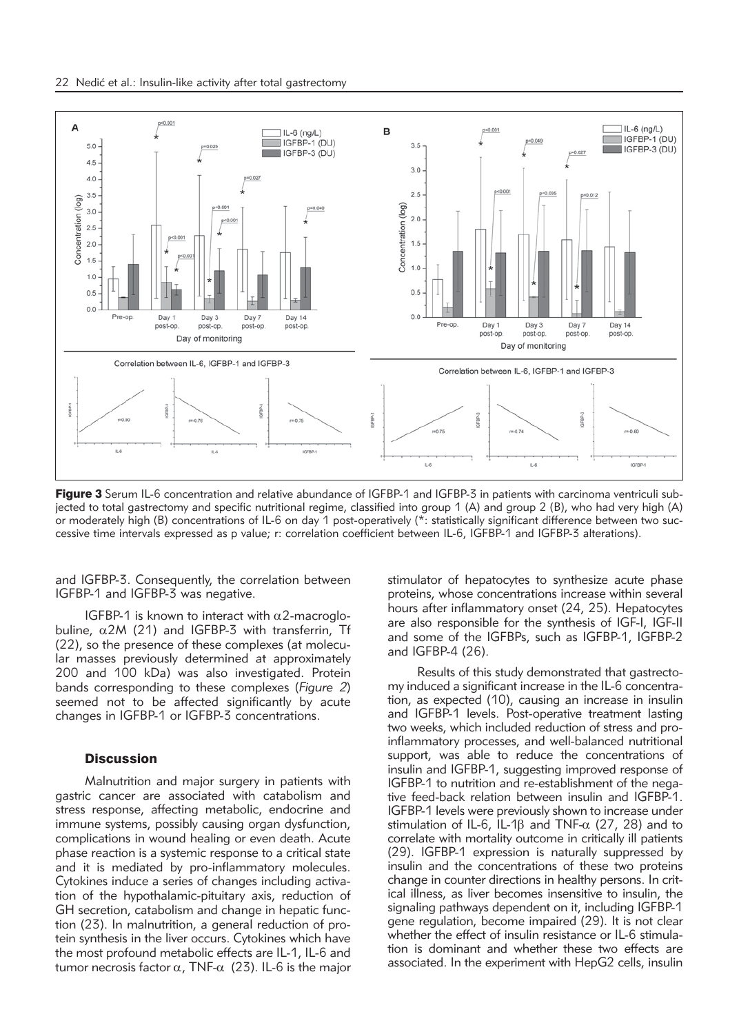

Figure 3 Serum IL-6 concentration and relative abundance of IGFBP-1 and IGFBP-3 in patients with carcinoma ventriculi subjected to total gastrectomy and specific nutritional regime, classified into group 1 (A) and group 2 (B), who had very high (A) or moderately high (B) concentrations of IL-6 on day 1 post-operatively (\*: statistically significant difference between two successive time intervals expressed as p value; r: correlation coefficient between IL-6, IGFBP-1 and IGFBP-3 alterations).

and IGFBP-3. Consequently, the correlation between IGFBP-1 and IGFBP-3 was negative.

IGFBP-1 is known to interact with  $\alpha$ 2-macroglobuline,  $\alpha$ 2M (21) and IGFBP-3 with transferrin, Tf (22), so the presence of these complexes (at molecular masses previously determined at approximately 200 and 100 kDa) was also investigated. Protein bands corresponding to these complexes (*Figure 2*) seemed not to be affected significantly by acute changes in IGFBP-1 or IGFBP-3 concentrations.

### **Discussion**

Malnutrition and major surgery in patients with gastric cancer are associated with catabolism and stress response, affecting metabolic, endocrine and immune systems, possibly causing organ dysfunction, complications in wound healing or even death. Acute phase reaction is a systemic response to a critical state and it is mediated by pro-inflammatory molecules. Cytokines induce a series of changes including activation of the hypothalamic-pituitary axis, reduction of GH secretion, catabolism and change in hepatic function (23). In malnutrition, a general reduction of protein synthesis in the liver occurs. Cytokines which have the most profound metabolic effects are IL-1, IL-6 and tumor necrosis factor  $\alpha$ , TNF- $\alpha$  (23). IL-6 is the major

stimulator of hepatocytes to synthesize acute phase proteins, whose concentrations increase within several hours after inflammatory onset (24, 25). Hepatocytes are also responsible for the synthesis of IGF-I, IGF-II and some of the IGFBPs, such as IGFBP-1, IGFBP-2 and IGFBP-4 (26).

Results of this study demonstrated that gastrectomy induced a significant increase in the IL-6 concentration, as expected (10), causing an increase in insulin and IGFBP-1 levels. Post-operative treatment lasting two weeks, which included reduction of stress and proinflammatory processes, and well-balanced nutritional support, was able to reduce the concentrations of insulin and IGFBP-1, suggesting improved response of IGFBP-1 to nutrition and re-establishment of the negative feed-back relation between insulin and IGFBP-1. IGFBP-1 levels were previously shown to increase under stimulation of IL-6, IL-1 $\beta$  and TNF- $\alpha$  (27, 28) and to correlate with mortality outcome in critically ill patients (29). IGFBP-1 expression is naturally suppressed by insulin and the concentrations of these two proteins change in counter directions in healthy persons. In critical illness, as liver becomes insensitive to insulin, the signaling pathways dependent on it, including IGFBP-1 gene regulation, become impaired (29). It is not clear whether the effect of insulin resistance or IL-6 stimulation is dominant and whether these two effects are associated. In the experiment with HepG2 cells, insulin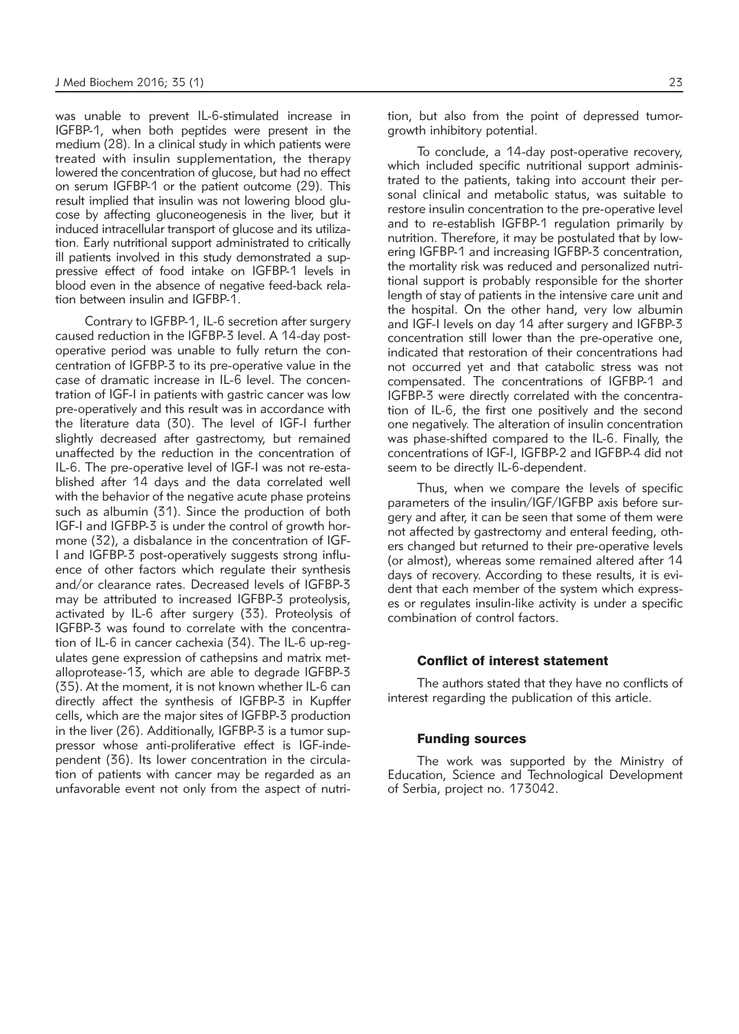was unable to prevent IL-6-stimulated increase in IGFBP-1, when both peptides were present in the medium (28). In a clinical study in which patients were treated with insulin supplementation, the therapy lowered the concentration of glucose, but had no effect on serum IGFBP-1 or the patient outcome (29). This result implied that insulin was not lowering blood glucose by affecting gluconeogenesis in the liver, but it induced intracellular transport of glucose and its utilization. Early nutritional support administrated to critically ill patients involved in this study demonstrated a suppressive effect of food intake on IGFBP-1 levels in blood even in the absence of negative feed-back relation between insulin and IGFBP-1.

Contrary to IGFBP-1, IL-6 secretion after surgery caused reduction in the IGFBP-3 level. A 14-day postoperative period was unable to fully return the concentration of IGFBP-3 to its pre-operative value in the case of dramatic increase in IL-6 level. The concentration of IGF-I in patients with gastric cancer was low pre-operatively and this result was in accordance with the literature data (30). The level of IGF-I further slightly decreased after gastrectomy, but remained unaffected by the reduction in the concentration of IL-6. The pre-operative level of IGF-I was not re-established after 14 days and the data correlated well with the behavior of the negative acute phase proteins such as albumin (31). Since the production of both IGF-I and IGFBP-3 is under the control of growth hormone (32), a disbalance in the concentration of IGF-I and IGFBP-3 post-operatively suggests strong influence of other factors which regulate their synthesis and/or clearance rates. Decreased levels of IGFBP-3 may be attributed to increased IGFBP-3 proteolysis, activated by IL-6 after surgery (33). Proteolysis of IGFBP-3 was found to correlate with the concentration of IL-6 in cancer cachexia (34). The IL-6 up-regulates gene expression of cathepsins and matrix metalloprotease-13, which are able to degrade IGFBP-3 (35). At the moment, it is not known whether IL-6 can directly affect the synthesis of IGFBP-3 in Kupffer cells, which are the major sites of IGFBP-3 production in the liver (26). Additionally, IGFBP-3 is a tumor suppressor whose anti-proliferative effect is IGF-independent (36). Its lower concentration in the circulation of patients with cancer may be regarded as an unfavorable event not only from the aspect of nutrition, but also from the point of depressed tumorgrowth inhibitory potential.

To conclude, a 14-day post-operative recovery, which included specific nutritional support administrated to the patients, taking into account their personal clinical and metabolic status, was suitable to restore insulin concentration to the pre-operative level and to re-establish IGFBP-1 regulation primarily by nutrition. Therefore, it may be postulated that by lowering IGFBP-1 and increasing IGFBP-3 concentration, the mortality risk was reduced and personalized nutritional support is probably responsible for the shorter length of stay of patients in the intensive care unit and the hospital. On the other hand, very low albumin and IGF-I levels on day 14 after surgery and IGFBP-3 concentration still lower than the pre-operative one, indicated that restoration of their concentrations had not occurred yet and that catabolic stress was not compensated. The concentrations of IGFBP-1 and IGFBP-3 were directly correlated with the concentration of IL-6, the first one positively and the second one negatively. The alteration of insulin concentration was phase-shifted compared to the IL-6. Finally, the concentrations of IGF-I, IGFBP-2 and IGFBP-4 did not seem to be directly IL-6-dependent.

Thus, when we compare the levels of specific parameters of the insulin/IGF/IGFBP axis before surgery and after, it can be seen that some of them were not affected by gastrectomy and enteral feeding, others changed but returned to their pre-operative levels (or almost), whereas some remained altered after 14 days of recovery. According to these results, it is evident that each member of the system which expresses or regulates insulin-like activity is under a specific combination of control factors.

## Conflict of interest statement

The authors stated that they have no conflicts of interest regarding the publication of this article.

## Funding sources

The work was supported by the Ministry of Education, Science and Technological Development of Serbia, project no. 173042.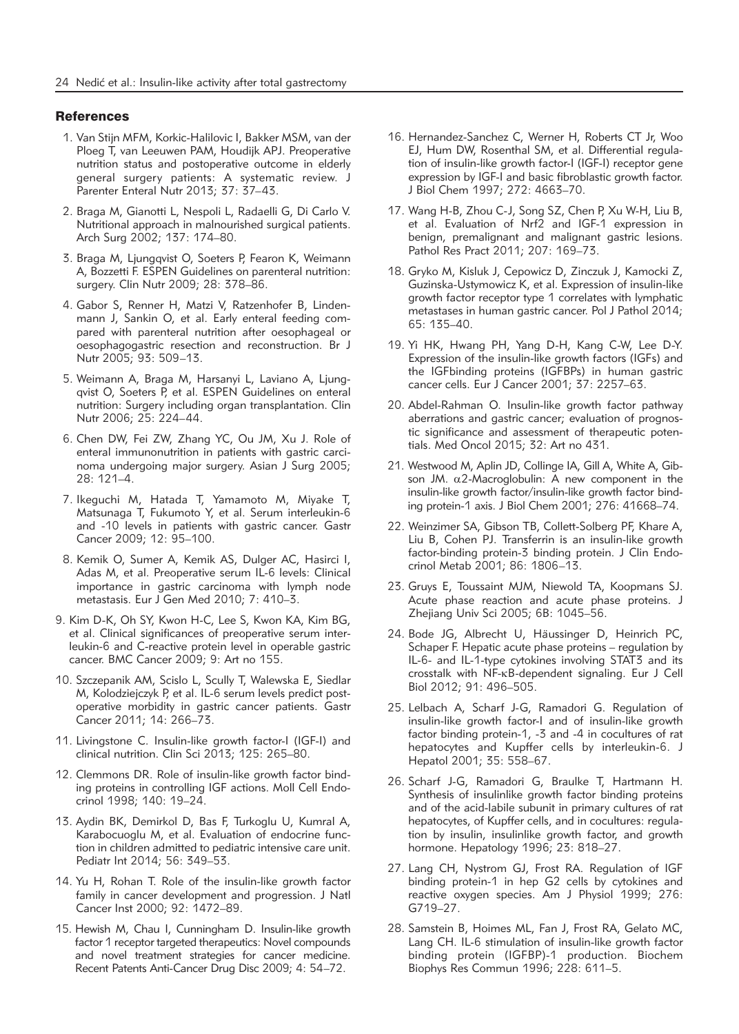#### **References**

- 1. Van Stijn MFM, Korkic-Halilovic I, Bakker MSM, van der Ploeg T, van Leeuwen PAM, Houdijk APJ. Preoperative nutrition status and postoperative outcome in elderly general surgery patients: A systematic review. J Parenter Enteral Nutr 2013; 37: 37-43.
- 2. Braga M, Gianotti L, Nespoli L, Radaelli G, Di Carlo V. Nutritional approach in malnourished surgical patients. Arch Surg 2002; 137: 174–80.
- 3. Braga M, Ljungqvist O, Soeters P, Fearon K, Weimann A, Bozzetti F. ESPEN Guidelines on parenteral nutrition: surgery. Clin Nutr 2009; 28: 378–86.
- 4. Gabor S, Renner H, Matzi V, Ratzenhofer B, Lindenmann J, Sankin O, et al. Early enteral feeding compared with parenteral nutrition after oesophageal or oesophagogastric resection and reconstruction. Br J Nutr 2005; 93: 509–13.
- 5. Weimann A, Braga M, Harsanyi L, Laviano A, Ljungqvist O, Soeters P, et al. ESPEN Guidelines on enteral nutrition: Surgery including organ transplantation. Clin Nutr 2006; 25: 224–44.
- 6. Chen DW, Fei ZW, Zhang YC, Ou JM, Xu J. Role of enteral immunonutrition in patients with gastric carcinoma undergoing major surgery. Asian J Surg 2005; 28: 121–4.
- 7. Ikeguchi M, Hatada T, Yamamoto M, Miyake T, Matsunaga T, Fukumoto Y, et al. Serum interleukin-6 and -10 levels in patients with gastric cancer. Gastr Cancer 2009; 12: 95–100.
- 8. Kemik O, Sumer A, Kemik AS, Dulger AC, Hasirci I, Adas M, et al. Preoperative serum IL-6 levels: Clinical importance in gastric carcinoma with lymph node metastasis. Eur J Gen Med 2010; 7: 410–3.
- 9. Kim D-K, Oh SY, Kwon H-C, Lee S, Kwon KA, Kim BG, et al. Clinical significances of preoperative serum interleukin-6 and C-reactive protein level in operable gastric cancer. BMC Cancer 2009; 9: Art no 155.
- 10. Szczepanik AM, Scislo L, Scully T, Walewska E, Siedlar M, Kolodziejczyk P, et al. IL-6 serum levels predict postoperative morbidity in gastric cancer patients. Gastr Cancer 2011; 14: 266–73.
- 11. Livingstone C. Insulin-like growth factor-I (IGF-I) and clinical nutrition. Clin Sci 2013; 125: 265–80.
- 12. Clemmons DR. Role of insulin-like growth factor binding proteins in controlling IGF actions. Moll Cell Endocrinol 1998; 140: 19–24.
- 13. Aydin BK, Demirkol D, Bas F, Turkoglu U, Kumral A, Karabocuoglu M, et al. Evaluation of endocrine function in children admitted to pediatric intensive care unit. Pediatr Int 2014; 56: 349–53.
- 14. Yu H, Rohan T. Role of the insulin-like growth factor family in cancer development and progression. J Natl Cancer Inst 2000; 92: 1472–89.
- 15. Hewish M, Chau I, Cunningham D. Insulin-like growth factor 1 receptor targeted therapeutics: Novel compounds and novel treatment strategies for cancer medicine. Recent Patents Anti-Cancer Drug Disc 2009; 4: 54–72.
- 16. Hernandez-Sanchez C, Werner H, Roberts CT Jr, Woo EJ, Hum DW, Rosenthal SM, et al. Differential regulation of insulin-like growth factor-I (IGF-I) receptor gene expression by IGF-I and basic fibroblastic growth factor. J Biol Chem 1997; 272: 4663–70.
- 17. Wang H-B, Zhou C-J, Song SZ, Chen P, Xu W-H, Liu B, et al. Evaluation of Nrf2 and IGF-1 expression in benign, premalignant and malignant gastric lesions. Pathol Res Pract 2011; 207: 169-73.
- 18. Gryko M, Kisluk J, Cepowicz D, Zinczuk J, Kamocki Z, Guzinska-Ustymowicz K, et al. Expression of insulin-like growth factor receptor type 1 correlates with lymphatic metastases in human gastric cancer. Pol J Pathol 2014; 65: 135–40.
- 19. Yi HK, Hwang PH, Yang D-H, Kang C-W, Lee D-Y. Expression of the insulin-like growth factors (IGFs) and the IGFbinding proteins (IGFBPs) in human gastric cancer cells. Eur J Cancer 2001; 37: 2257–63.
- 20. Abdel-Rahman O. Insulin-like growth factor pathway aberrations and gastric cancer; evaluation of prognostic significance and assessment of therapeutic potentials. Med Oncol 2015; 32: Art no 431.
- 21. Westwood M, Aplin JD, Collinge IA, Gill A, White A, Gibson JM.  $\alpha$ 2-Macroglobulin: A new component in the insulin-like growth factor/insulin-like growth factor binding protein-1 axis. J Biol Chem 2001; 276: 41668–74.
- 22. Weinzimer SA, Gibson TB, Collett-Solberg PF, Khare A, Liu B, Cohen PJ. Transferrin is an insulin-like growth factor-binding protein-3 binding protein. J Clin Endocrinol Metab 2001; 86: 1806–13.
- 23. Gruys E, Toussaint MJM, Niewold TA, Koopmans SJ. Acute phase reaction and acute phase proteins. J Zhejiang Univ Sci 2005; 6B: 1045–56.
- 24. Bode JG, Albrecht U, Häussinger D, Heinrich PC, Schaper F. Hepatic acute phase proteins – regulation by IL-6- and IL-1-type cytokines involving STAT3 and its crosstalk with NF-kB-dependent signaling. Eur J Cell Biol 2012; 91: 496–505.
- 25. Lelbach A, Scharf J-G, Ramadori G. Regulation of insulin-like growth factor-I and of insulin-like growth factor binding protein-1, -3 and -4 in cocultures of rat hepatocytes and Kupffer cells by interleukin-6. J Hepatol 2001; 35: 558–67.
- 26. Scharf J-G, Ramadori G, Braulke T, Hartmann H. Synthesis of insulinlike growth factor binding proteins and of the acid-labile subunit in primary cultures of rat hepatocytes, of Kupffer cells, and in cocultures: regulation by insulin, insulinlike growth factor, and growth hormone. Hepatology 1996; 23: 818–27.
- 27. Lang CH, Nystrom GJ, Frost RA. Regulation of IGF binding protein-1 in hep G2 cells by cytokines and reactive oxygen species. Am J Physiol 1999; 276: G719–27.
- 28. Samstein B, Hoimes ML, Fan J, Frost RA, Gelato MC, Lang CH. IL-6 stimulation of insulin-like growth factor binding protein (IGFBP)-1 production. Biochem Biophys Res Commun 1996; 228: 611–5.